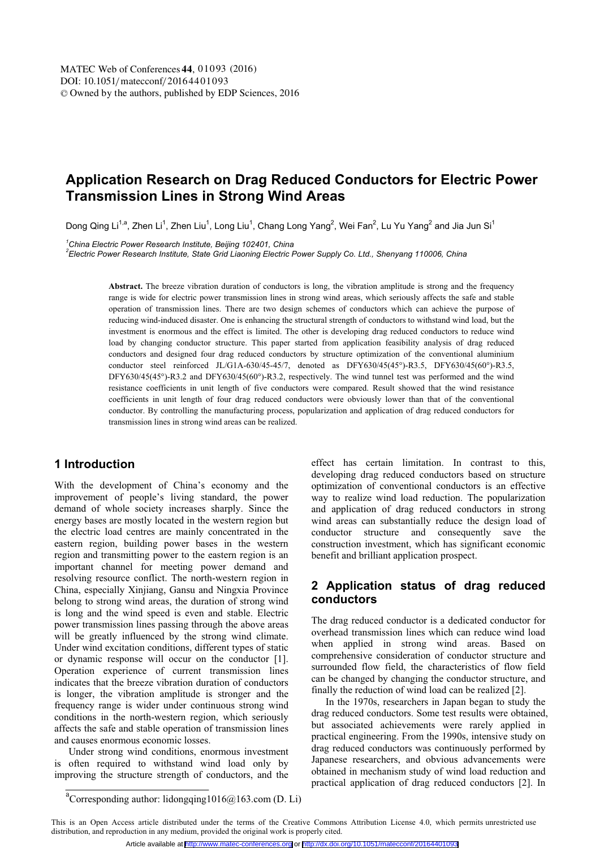# **Application Research on Drag Reduced Conductors for Electric Power Transmission Lines in Strong Wind Areas**

Dong Qing Li<sup>1,a</sup>, Zhen Li<sup>1</sup>, Zhen Liu<sup>1</sup>, Long Liu<sup>1</sup>, Chang Long Yang<sup>2</sup>, Wei Fan<sup>2</sup>, Lu Yu Yang<sup>2</sup> and Jia Jun Si<sup>1</sup>

<sup>1</sup>China Electric Power Research Institute, Beijing 102401, China<br><sup>2</sup>Electric Power Besearch Institute, State Crid Lioening Electric E

*Electric Power Research Institute, State Grid Liaoning Electric Power Supply Co. Ltd., Shenyang 110006, China* 

**Abstract.** The breeze vibration duration of conductors is long, the vibration amplitude is strong and the frequency range is wide for electric power transmission lines in strong wind areas, which seriously affects the safe and stable operation of transmission lines. There are two design schemes of conductors which can achieve the purpose of reducing wind-induced disaster. One is enhancing the structural strength of conductors to withstand wind load, but the investment is enormous and the effect is limited. The other is developing drag reduced conductors to reduce wind load by changing conductor structure. This paper started from application feasibility analysis of drag reduced conductors and designed four drag reduced conductors by structure optimization of the conventional aluminium conductor steel reinforced JL/G1A-630/45-45/7, denoted as DFY630/45(45°)-R3.5, DFY630/45(60°)-R3.5, DFY630/45(45°)-R3.2 and DFY630/45(60°)-R3.2, respectively. The wind tunnel test was performed and the wind resistance coefficients in unit length of five conductors were compared. Result showed that the wind resistance coefficients in unit length of four drag reduced conductors were obviously lower than that of the conventional conductor. By controlling the manufacturing process, popularization and application of drag reduced conductors for transmission lines in strong wind areas can be realized.

#### **1 Introduction**

With the development of China's economy and the improvement of people's living standard, the power demand of whole society increases sharply. Since the energy bases are mostly located in the western region but the electric load centres are mainly concentrated in the eastern region, building power bases in the western region and transmitting power to the eastern region is an important channel for meeting power demand and resolving resource conflict. The north-western region in China, especially Xinjiang, Gansu and Ningxia Province belong to strong wind areas, the duration of strong wind is long and the wind speed is even and stable. Electric power transmission lines passing through the above areas will be greatly influenced by the strong wind climate. Under wind excitation conditions, different types of static or dynamic response will occur on the conductor [1]. Operation experience of current transmission lines indicates that the breeze vibration duration of conductors is longer, the vibration amplitude is stronger and the frequency range is wider under continuous strong wind conditions in the north-western region, which seriously affects the safe and stable operation of transmission lines and causes enormous economic losses.

Under strong wind conditions, enormous investment is often required to withstand wind load only by improving the structure strength of conductors, and the

effect has certain limitation. In contrast to this, developing drag reduced conductors based on structure optimization of conventional conductors is an effective way to realize wind load reduction. The popularization and application of drag reduced conductors in strong wind areas can substantially reduce the design load of conductor structure and consequently save the construction investment, which has significant economic benefit and brilliant application prospect.

## **2 Application status of drag reduced conductors**

The drag reduced conductor is a dedicated conductor for overhead transmission lines which can reduce wind load when applied in strong wind areas. Based on comprehensive consideration of conductor structure and surrounded flow field, the characteristics of flow field can be changed by changing the conductor structure, and finally the reduction of wind load can be realized [2].

In the 1970s, researchers in Japan began to study the drag reduced conductors. Some test results were obtained, but associated achievements were rarely applied in practical engineering. From the 1990s, intensive study on drag reduced conductors was continuously performed by Japanese researchers, and obvious advancements were obtained in mechanism study of wind load reduction and practical application of drag reduced conductors [2]. In

<sup>&</sup>lt;sup>a</sup> Corresponding author: lidongqing1016@163.com (D. Li)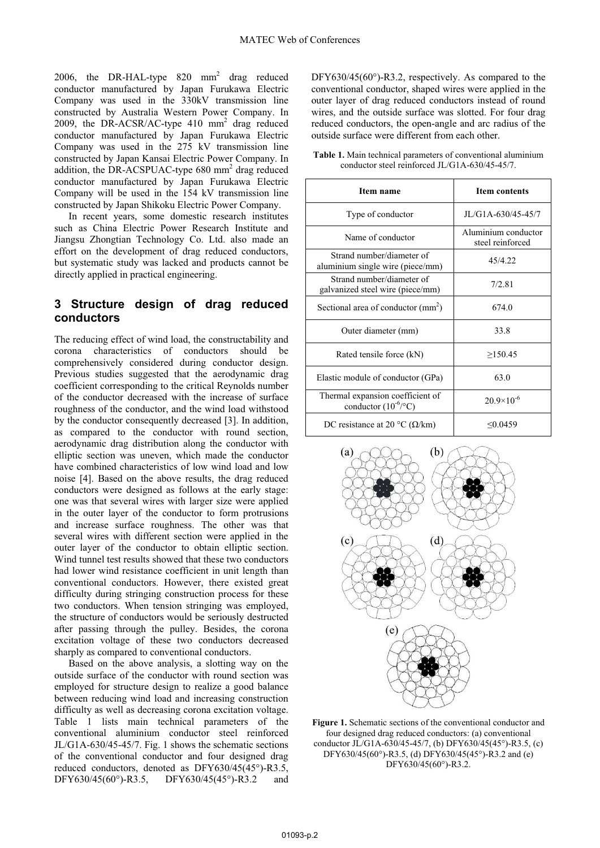2006, the DR-HAL-type  $820$  mm<sup>2</sup> drag reduced conductor manufactured by Japan Furukawa Electric Company was used in the 330kV transmission line constructed by Australia Western Power Company. In 2009, the DR-ACSR/AC-type  $410 \text{ mm}^2$  drag reduced conductor manufactured by Japan Furukawa Electric Company was used in the  $275$  kV transmission line constructed by Japan Kansai Electric Power Company. In addition, the DR-ACSPUAC-type  $680$  mm<sup>2</sup> drag reduced conductor manufactured by Japan Furukawa Electric Company will be used in the 154 kV transmission line constructed by Japan Shikoku Electric Power Company.

In recent years, some domestic research institutes such as China Electric Power Research Institute and Jiangsu Zhongtian Technology Co. Ltd. also made an effort on the development of drag reduced conductors, but systematic study was lacked and products cannot be directly applied in practical engineering.

# **3 Structure design of drag reduced conductors**

The reducing effect of wind load, the constructability and corona characteristics of conductors should be comprehensively considered during conductor design. Previous studies suggested that the aerodynamic drag coefficient corresponding to the critical Reynolds number of the conductor decreased with the increase of surface roughness of the conductor, and the wind load withstood by the conductor consequently decreased [3]. In addition, as compared to the conductor with round section, aerodynamic drag distribution along the conductor with elliptic section was uneven, which made the conductor have combined characteristics of low wind load and low noise [4]. Based on the above results, the drag reduced conductors were designed as follows at the early stage: one was that several wires with larger size were applied in the outer layer of the conductor to form protrusions and increase surface roughness. The other was that several wires with different section were applied in the outer layer of the conductor to obtain elliptic section. Wind tunnel test results showed that these two conductors had lower wind resistance coefficient in unit length than conventional conductors. However, there existed great difficulty during stringing construction process for these two conductors. When tension stringing was employed, the structure of conductors would be seriously destructed after passing through the pulley. Besides, the corona excitation voltage of these two conductors decreased sharply as compared to conventional conductors.

Based on the above analysis, a slotting way on the outside surface of the conductor with round section was employed for structure design to realize a good balance between reducing wind load and increasing construction difficulty as well as decreasing corona excitation voltage. Table 1 lists main technical parameters of the conventional aluminium conductor steel reinforced JL/G1A-630/45-45/7. Fig. 1 shows the schematic sections of the conventional conductor and four designed drag reduced conductors, denoted as DFY630/45(45°)-R3.5, DFY630/45(60°)-R3.5, DFY630/45(45°)-R3.2

DFY630/45(60°)-R3.2, respectively. As compared to the conventional conductor, shaped wires were applied in the outer layer of drag reduced conductors instead of round wires, and the outside surface was slotted. For four drag reduced conductors, the open-angle and arc radius of the outside surface were different from each other.

| Table 1. Main technical parameters of conventional aluminium |
|--------------------------------------------------------------|
| conductor steel reinforced JL/G1A-630/45-45/7.               |

| Item name                                                           | <b>Item contents</b>                    |  |  |
|---------------------------------------------------------------------|-----------------------------------------|--|--|
| Type of conductor                                                   | JL/G1A-630/45-45/7                      |  |  |
| Name of conductor                                                   | Aluminium conductor<br>steel reinforced |  |  |
| Strand number/diameter of<br>aluminium single wire (piece/mm)       | 45/4.22                                 |  |  |
| Strand number/diameter of<br>galvanized steel wire (piece/mm)       | 7/2.81                                  |  |  |
| Sectional area of conductor $\text{(mm)}$                           | 674.0                                   |  |  |
| Outer diameter (mm)                                                 | 33.8                                    |  |  |
| Rated tensile force (kN)                                            | $\geq$ 150.45                           |  |  |
| Elastic module of conductor (GPa)                                   | 63.0                                    |  |  |
| Thermal expansion coefficient of<br>conductor $(10^{-6}/^{\circ}C)$ | $20.9\times10^{-6}$                     |  |  |
| DC resistance at 20 $^{\circ}$ C ( $\Omega$ /km)                    | < 0.0459                                |  |  |



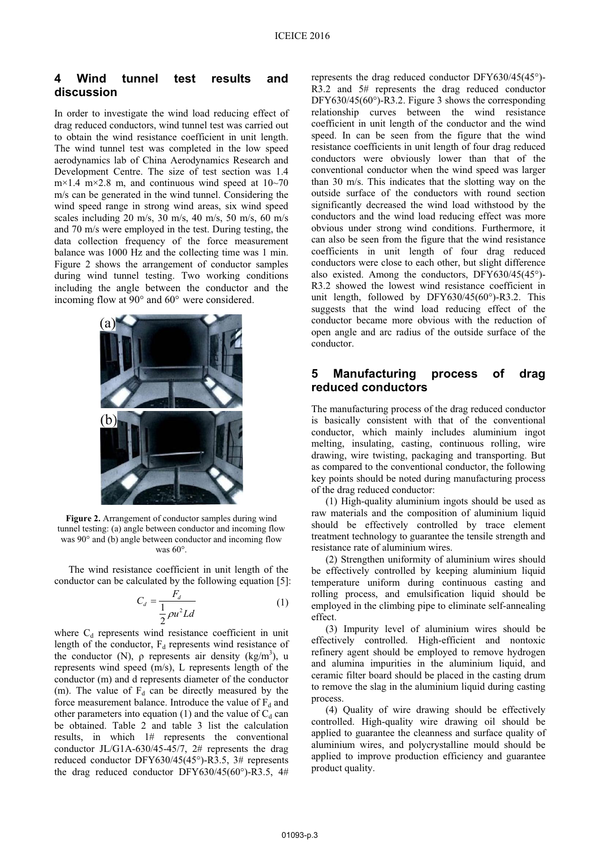## **4 Wind tunnel test results and discussion**

In order to investigate the wind load reducing effect of drag reduced conductors, wind tunnel test was carried out to obtain the wind resistance coefficient in unit length. The wind tunnel test was completed in the low speed aerodynamics lab of China Aerodynamics Research and Development Centre. The size of test section was 1.4  $m \times 1.4$  m $\times 2.8$  m, and continuous wind speed at  $10 \sim 70$ m/s can be generated in the wind tunnel. Considering the wind speed range in strong wind areas, six wind speed scales including 20 m/s, 30 m/s, 40 m/s, 50 m/s, 60 m/s and 70 m/s were employed in the test. During testing, the data collection frequency of the force measurement balance was 1000 Hz and the collecting time was 1 min. Figure 2 shows the arrangement of conductor samples during wind tunnel testing. Two working conditions including the angle between the conductor and the incoming flow at 90° and 60° were considered.



**Figure 2.** Arrangement of conductor samples during wind tunnel testing: (a) angle between conductor and incoming flow was 90° and (b) angle between conductor and incoming flow was 60°.

The wind resistance coefficient in unit length of the conductor can be calculated by the following equation [5]:

$$
C_d = \frac{F_d}{\frac{1}{2}\rho u^2 L d}
$$
 (1)

where  $C_d$  represents wind resistance coefficient in unit length of the conductor,  $F_d$  represents wind resistance of the conductor (N),  $\rho$  represents air density (kg/m<sup>3</sup>), u represents wind speed (m/s), L represents length of the conductor (m) and d represents diameter of the conductor (m). The value of  $F_d$  can be directly measured by the force measurement balance. Introduce the value of  $F_d$  and other parameters into equation (1) and the value of  $C_d$  can be obtained. Table 2 and table 3 list the calculation results, in which 1# represents the conventional conductor JL/G1A-630/45-45/7, 2# represents the drag reduced conductor DFY630/45(45°)-R3.5, 3# represents the drag reduced conductor DFY630/45(60 $^{\circ}$ )-R3.5, 4#

represents the drag reduced conductor DFY630/45(45°)- R3.2 and 5# represents the drag reduced conductor DFY630/45(60°)-R3.2. Figure 3 shows the corresponding relationship curves between the wind resistance coefficient in unit length of the conductor and the wind speed. In can be seen from the figure that the wind resistance coefficients in unit length of four drag reduced conductors were obviously lower than that of the conventional conductor when the wind speed was larger than 30 m/s. This indicates that the slotting way on the outside surface of the conductors with round section significantly decreased the wind load withstood by the conductors and the wind load reducing effect was more obvious under strong wind conditions. Furthermore, it can also be seen from the figure that the wind resistance coefficients in unit length of four drag reduced conductors were close to each other, but slight difference also existed. Among the conductors, DFY630/45(45°)- R3.2 showed the lowest wind resistance coefficient in unit length, followed by DFY630/45(60°)-R3.2. This suggests that the wind load reducing effect of the conductor became more obvious with the reduction of open angle and arc radius of the outside surface of the conductor.

## **5 Manufacturing process of drag reduced conductors**

The manufacturing process of the drag reduced conductor is basically consistent with that of the conventional conductor, which mainly includes aluminium ingot melting, insulating, casting, continuous rolling, wire drawing, wire twisting, packaging and transporting. But as compared to the conventional conductor, the following key points should be noted during manufacturing process of the drag reduced conductor:

(1) High-quality aluminium ingots should be used as raw materials and the composition of aluminium liquid should be effectively controlled by trace element treatment technology to guarantee the tensile strength and resistance rate of aluminium wires.

(2) Strengthen uniformity of aluminium wires should be effectively controlled by keeping aluminium liquid temperature uniform during continuous casting and rolling process, and emulsification liquid should be employed in the climbing pipe to eliminate self-annealing effect.

(3) Impurity level of aluminium wires should be effectively controlled. High-efficient and nontoxic refinery agent should be employed to remove hydrogen and alumina impurities in the aluminium liquid, and ceramic filter board should be placed in the casting drum to remove the slag in the aluminium liquid during casting process.

(4) Quality of wire drawing should be effectively controlled. High-quality wire drawing oil should be applied to guarantee the cleanness and surface quality of aluminium wires, and polycrystalline mould should be applied to improve production efficiency and guarantee product quality.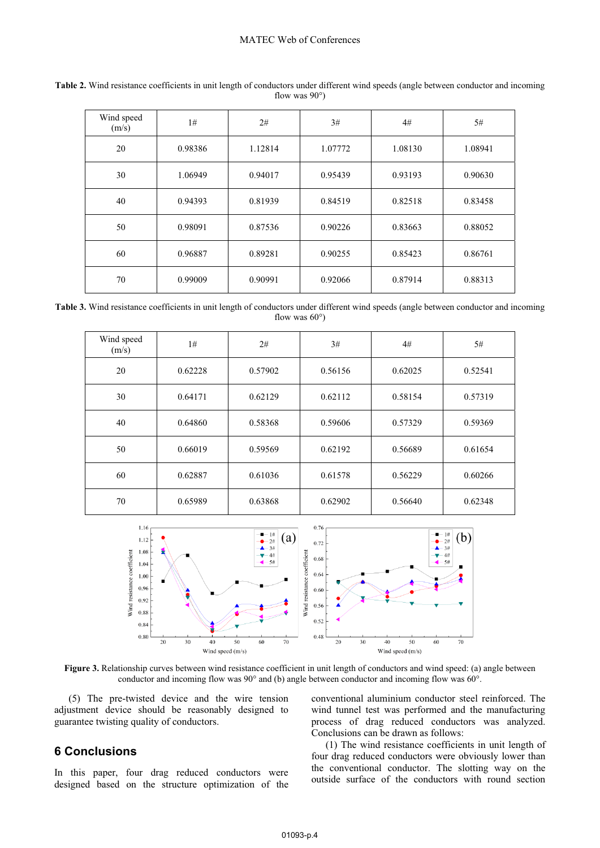| Wind speed<br>(m/s) | 1#      | 2#      | 3#      | 4#      | 5#      |
|---------------------|---------|---------|---------|---------|---------|
| 20                  | 0.98386 | 1.12814 | 1.07772 | 1.08130 | 1.08941 |
| 30                  | 1.06949 | 0.94017 | 0.95439 | 0.93193 | 0.90630 |
| 40                  | 0.94393 | 0.81939 | 0.84519 | 0.82518 | 0.83458 |
| 50                  | 0.98091 | 0.87536 | 0.90226 | 0.83663 | 0.88052 |
| 60                  | 0.96887 | 0.89281 | 0.90255 | 0.85423 | 0.86761 |
| 70                  | 0.99009 | 0.90991 | 0.92066 | 0.87914 | 0.88313 |

**Table 2.** Wind resistance coefficients in unit length of conductors under different wind speeds (angle between conductor and incoming flow was 90°)

**Table 3.** Wind resistance coefficients in unit length of conductors under different wind speeds (angle between conductor and incoming flow was 60°)

| Wind speed<br>(m/s) | 1#      | 2#      | 3#      | 4#      | 5#      |
|---------------------|---------|---------|---------|---------|---------|
| 20                  | 0.62228 | 0.57902 | 0.56156 | 0.62025 | 0.52541 |
| 30                  | 0.64171 | 0.62129 | 0.62112 | 0.58154 | 0.57319 |
| 40                  | 0.64860 | 0.58368 | 0.59606 | 0.57329 | 0.59369 |
| 50                  | 0.66019 | 0.59569 | 0.62192 | 0.56689 | 0.61654 |
| 60                  | 0.62887 | 0.61036 | 0.61578 | 0.56229 | 0.60266 |
| 70                  | 0.65989 | 0.63868 | 0.62902 | 0.56640 | 0.62348 |



**Figure 3.** Relationship curves between wind resistance coefficient in unit length of conductors and wind speed: (a) angle between conductor and incoming flow was 90° and (b) angle between conductor and incoming flow was 60°.

(5) The pre-twisted device and the wire tension adjustment device should be reasonably designed to guarantee twisting quality of conductors.

#### **6 Conclusions**

In this paper, four drag reduced conductors were designed based on the structure optimization of the conventional aluminium conductor steel reinforced. The wind tunnel test was performed and the manufacturing process of drag reduced conductors was analyzed. Conclusions can be drawn as follows:

(1) The wind resistance coefficients in unit length of four drag reduced conductors were obviously lower than the conventional conductor. The slotting way on the outside surface of the conductors with round section